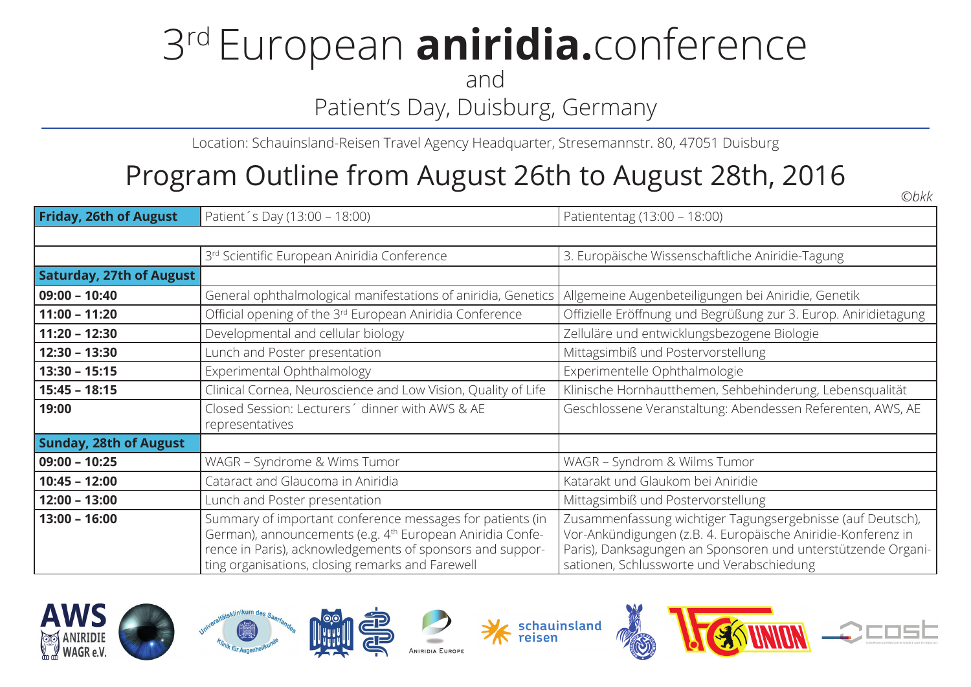# 3rd European **aniridia.**conference

and

### Patient's Day, Duisburg, Germany

Location: Schauinsland-Reisen Travel Agency Headquarter, Stresemannstr. 80, 47051 Duisburg

### Program Outline from August 26th to August 28th, 2016

**Friday, 26th of August** Patient's Day (13:00 – 18:00) **Patiententag (13:00 – 18:00)** Patiententag (13:00 – 18:00) 3<sup>rd</sup> Scientific European Aniridia Conference 3. Europäische Wissenschaftliche Aniridie-Tagung **Saturday, 27th of August 09:00 – 10:40** General ophthalmological manifestations of aniridia, Genetics | Allgemeine Augenbeteiligungen bei Aniridie, Genetik **11:00 – 11:20 C** Official opening of the 3<sup>rd</sup> European Aniridia Conference Confizielle Eröffnung und Begrüßung zur 3. Europ. Aniridietagung **11:20 – 12:30** Developmental and cellular biology **National School School and Except** Zelluläre und entwicklungsbezogene Biologie **12:30 – 13:30** Lunch and Poster presentation Mittagsimbiß und Postervorstellung **13:30 – 15:15** Experimental Ophthalmology **Experimentelle Ophthalmologie 15:45 – 18:15** Clinical Cornea, Neuroscience and Low Vision, Quality of Life Klinische Hornhautthemen, Sehbehinderung, Lebensqualität **19:00** Closed Session: Lecturers´ dinner with AWS & AE representatives Geschlossene Veranstaltung: Abendessen Referenten, AWS, AE **Sunday, 28th of August 09:00 – 10:25** WAGR – Syndrome & Wims Tumor Number of WAGR – Syndrom & Wilms Tumor **10:45 – 12:00** Cataract and Glaucoma in Aniridia Katarakt und Glaukom bei Aniridie **12:00 – 13:00** Lunch and Poster presentation Mittagsimbiß und Postervorstellung **13:00 – 16:00** Summary of important conference messages for patients (in German), announcements (e.g. 4<sup>th</sup> European Aniridia Conference in Paris), acknowledgements of sponsors and supporting organisations, closing remarks and Farewell Zusammenfassung wichtiger Tagungsergebnisse (auf Deutsch), Vor-Ankündigungen (z.B. 4. Europäische Aniridie-Konferenz in Paris), Danksagungen an Sponsoren und unterstützende Organisationen, Schlussworte und Verabschiedung















*©bkk*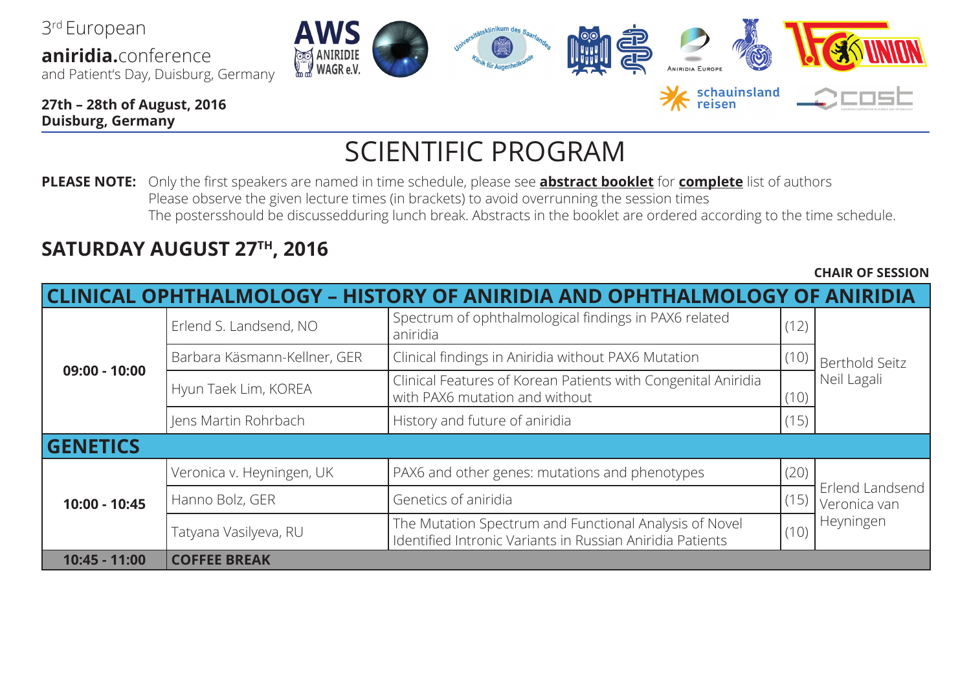3rd European **aniridia.**conference and Patient's Day, Duisburg, Germany

**27th – 28th of August, 2016 Duisburg, Germany**

## SCIENTIFIC PROGRAM

**PLEASE NOTE:** Only the first speakers are named in time schedule, please see **abstract booklet** for **complete** list of authors Please observe the given lecture times (in brackets) to avoid overrunning the session times The postersshould be discussedduring lunch break. Abstracts in the booklet are ordered according to the time schedule.

#### **SATURDAY AUGUST 27TH, 2016**

**CLINICAL OPHTHALMOLOGY – HISTORY OF ANIRIDIA AND OPHTHALMOLOGY OF ANIRIDIA 09:00 - 10:00** Erlend S. Landsend, NO Spectrum of ophthalmological findings in PAX6 related (12) Berthold Seitz Neil Lagali Barbara Käsmann-Kellner, GER Clinical findings in Aniridia without PAX6 Mutation (10) Hyun Taek Lim, KOREA Clinical Features of Korean Patients with Congenital Aniridia with PAX6 mutation and without (10)  $\vert$  lens Martin Rohrbach  $\vert$  History and future of aniridia  $\vert$  (15) **GENETICS 10:00 - 10:45** Veronica v. Heyningen, UK PAX6 and other genes: mutations and phenotypes (20) Erlend Landsend Veronica van Heyningen Hanno Bolz, GER Genetics of aniridia (15) Tatyana Vasilyeva, RU The Mutation Spectrum and Functional Analysis of Novel Interviduation spectrum and Functional Analysis of Nover<br>Identified Intronic Variants in Russian Aniridia Patients (10) **10:45 - 11:00 COFFEE BREAK**

**CHAIR OF SESSION**







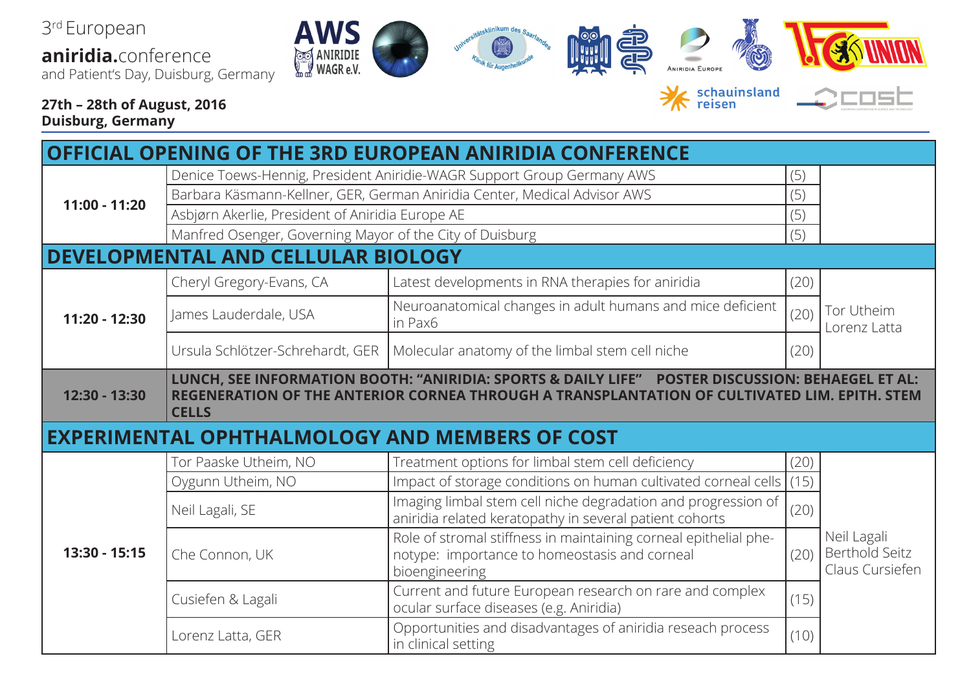3rd European

**aniridia.**conference and Patient's Day, Duisburg, Germany











**27th – 28th of August, 2016 Duisburg, Germany**

schauinsland



|                  |                                                                           | <b>OFFICIAL OPENING OF THE 3RD EUROPEAN ANIRIDIA CONFERENCE</b>                                                                                                                                  |      |                                                  |
|------------------|---------------------------------------------------------------------------|--------------------------------------------------------------------------------------------------------------------------------------------------------------------------------------------------|------|--------------------------------------------------|
| 11:00 - 11:20    |                                                                           | Denice Toews-Hennig, President Aniridie-WAGR Support Group Germany AWS                                                                                                                           | (5)  |                                                  |
|                  | Barbara Käsmann-Kellner, GER, German Aniridia Center, Medical Advisor AWS |                                                                                                                                                                                                  | (5)  |                                                  |
|                  | Asbjørn Akerlie, President of Aniridia Europe AE                          |                                                                                                                                                                                                  | (5)  |                                                  |
|                  | Manfred Osenger, Governing Mayor of the City of Duisburg                  |                                                                                                                                                                                                  | (5)  |                                                  |
| <b>DEVELOPME</b> | <b>TAL AND CELLULAR BIOLOGY</b>                                           |                                                                                                                                                                                                  |      |                                                  |
|                  | Cheryl Gregory-Evans, CA                                                  | Latest developments in RNA therapies for aniridia                                                                                                                                                | (20) |                                                  |
| 11:20 - 12:30    | James Lauderdale, USA                                                     | Neuroanatomical changes in adult humans and mice deficient<br>in Pax6                                                                                                                            | (20) | Tor Utheim<br>Lorenz Latta                       |
|                  | Ursula Schlötzer-Schrehardt, GER                                          | Molecular anatomy of the limbal stem cell niche                                                                                                                                                  | (20) |                                                  |
| 12:30 - 13:30    | <b>CELLS</b>                                                              | LUNCH, SEE INFORMATION BOOTH: "ANIRIDIA: SPORTS & DAILY LIFE" POSTER DISCUSSION: BEHAEGEL ET AL:<br>REGENERATION OF THE ANTERIOR CORNEA THROUGH A TRANSPLANTATION OF CULTIVATED LIM. EPITH. STEM |      |                                                  |
|                  |                                                                           | <b>EXPERIMENTAL OPHTHALMOLOGY AND MEMBERS OF COST</b>                                                                                                                                            |      |                                                  |
|                  | Tor Paaske Utheim, NO                                                     |                                                                                                                                                                                                  |      |                                                  |
|                  |                                                                           | Treatment options for limbal stem cell deficiency                                                                                                                                                | (20) |                                                  |
|                  | Oygunn Utheim, NO                                                         | Impact of storage conditions on human cultivated corneal cells $(15)$                                                                                                                            |      |                                                  |
|                  | Neil Lagali, SE                                                           | Imaging limbal stem cell niche degradation and progression of<br>aniridia related keratopathy in several patient cohorts                                                                         | (20) |                                                  |
| 13:30 - 15:15    | Che Connon, UK                                                            | Role of stromal stiffness in maintaining corneal epithelial phe-<br>notype: importance to homeostasis and corneal<br>bioengineering                                                              | (20) | Neil Lagali<br>Berthold Seitz<br>Claus Cursiefen |
|                  | Cusiefen & Lagali                                                         | Current and future European research on rare and complex<br>ocular surface diseases (e.g. Aniridia)                                                                                              | (15) |                                                  |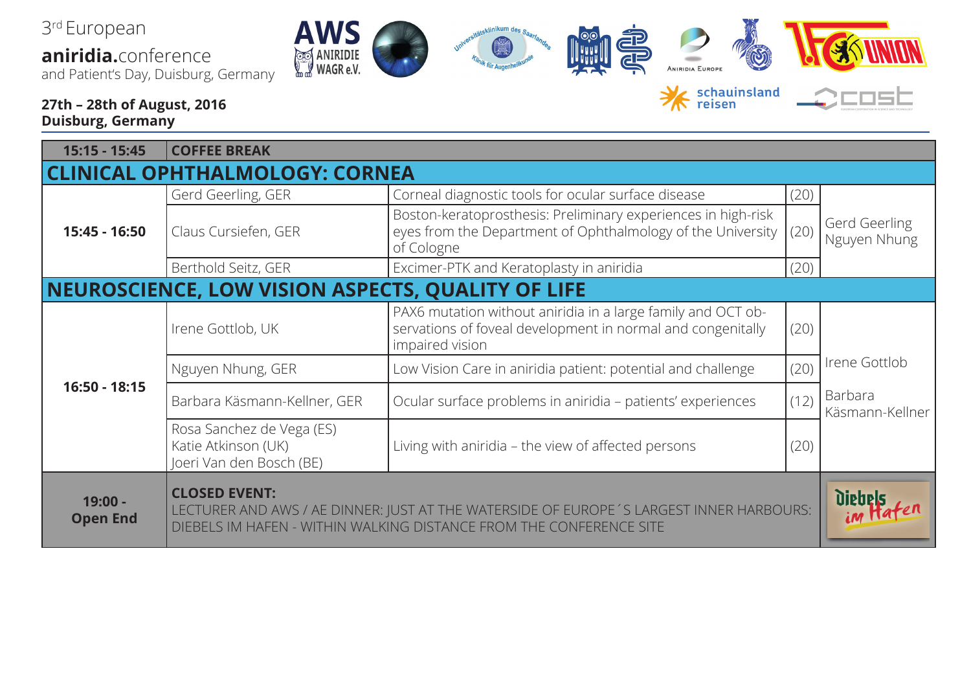3rd European **aniridia.**conference

and Patient's Day, Duisburg, Germany

AV

#### **27th – 28th of August, 2016 Duisburg, Germany**

| 15:15 - 15:45                         | <b>COFFEE BREAK</b>                                                                                                                                                                    |                                                                                                                                                |      |                               |
|---------------------------------------|----------------------------------------------------------------------------------------------------------------------------------------------------------------------------------------|------------------------------------------------------------------------------------------------------------------------------------------------|------|-------------------------------|
| <b>CLINICAL OPHTHALMOLOGY: CORNEA</b> |                                                                                                                                                                                        |                                                                                                                                                |      |                               |
|                                       | Gerd Geerling, GER                                                                                                                                                                     | Corneal diagnostic tools for ocular surface disease                                                                                            | (20) |                               |
| 15:45 - 16:50                         | Claus Cursiefen, GER                                                                                                                                                                   | Boston-keratoprosthesis: Preliminary experiences in high-risk<br>eyes from the Department of Ophthalmology of the University<br>of Cologne     | (20) | Gerd Geerling<br>Nguyen Nhung |
|                                       | Berthold Seitz, GER                                                                                                                                                                    | Excimer-PTK and Keratoplasty in aniridia                                                                                                       | (20) |                               |
|                                       | <b>NEUROSCIENCE, LOW VISION ASPECTS, QUALITY OF LIFE</b>                                                                                                                               |                                                                                                                                                |      |                               |
| $16:50 - 18:15$                       | Irene Gottlob, UK                                                                                                                                                                      | PAX6 mutation without aniridia in a large family and OCT ob-<br>servations of foveal development in normal and congenitally<br>impaired vision | (20) |                               |
|                                       | Nguyen Nhung, GER                                                                                                                                                                      | Low Vision Care in aniridia patient: potential and challenge                                                                                   | (20) | Irene Gottlob                 |
|                                       | Barbara Käsmann-Kellner, GER                                                                                                                                                           | Ocular surface problems in aniridia - patients' experiences                                                                                    | (12) | Barbara<br>Käsmann-Kellner    |
|                                       | Rosa Sanchez de Vega (ES)<br>Katie Atkinson (UK)<br>Joeri Van den Bosch (BE)                                                                                                           | Living with aniridia – the view of affected persons                                                                                            | (20) |                               |
| $19:00 -$<br><b>Open End</b>          | <b>CLOSED EVENT:</b><br>LECTURER AND AWS / AE DINNER: JUST AT THE WATERSIDE OF EUROPE'S LARGEST INNER HARBOURS:<br>DIEBELS IM HAFEN - WITHIN WALKING DISTANCE FROM THE CONFERENCE SITE |                                                                                                                                                |      |                               |

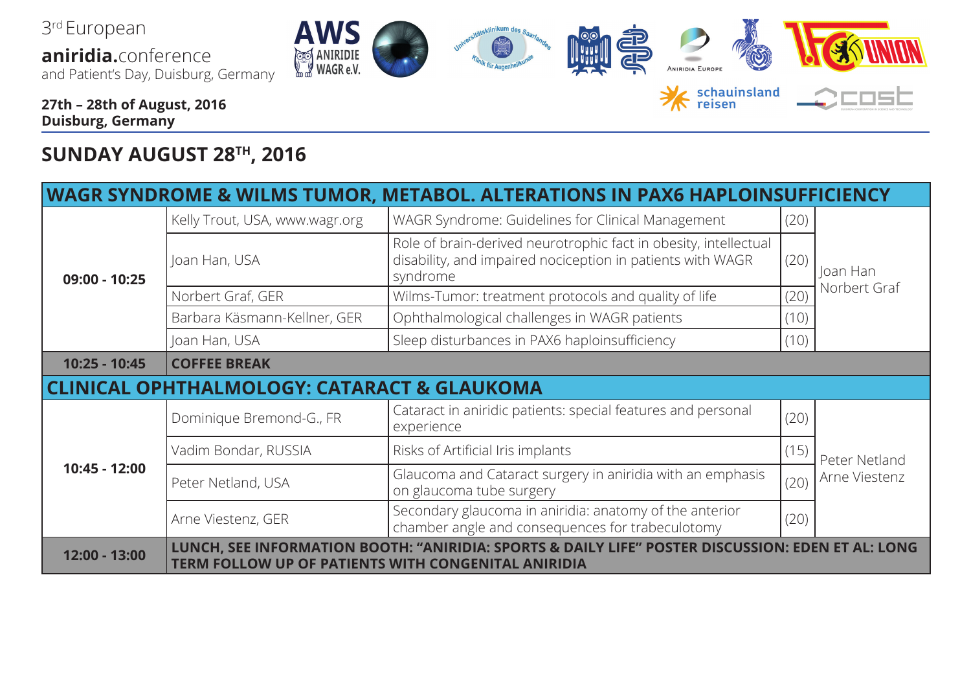

#### **SUNDAY AUGUST 28TH, 2016**

| WAGR SYNDROME & WILMS TUMOR, METABOL. ALTERATIONS IN PAX6 HAPLOINSUFFICIEI |                                                                                                                                                                 |                                                                                                                                            |      |                                |  |
|----------------------------------------------------------------------------|-----------------------------------------------------------------------------------------------------------------------------------------------------------------|--------------------------------------------------------------------------------------------------------------------------------------------|------|--------------------------------|--|
| 09:00 - 10:25                                                              | Kelly Trout, USA, www.wagr.org                                                                                                                                  | WAGR Syndrome: Guidelines for Clinical Management                                                                                          | (20) |                                |  |
|                                                                            | Joan Han, USA                                                                                                                                                   | Role of brain-derived neurotrophic fact in obesity, intellectual<br>disability, and impaired nociception in patients with WAGR<br>syndrome | (20) | loan Han<br>Norbert Graf       |  |
|                                                                            | Norbert Graf, GER                                                                                                                                               | Wilms-Tumor: treatment protocols and quality of life                                                                                       | (20) |                                |  |
|                                                                            | Barbara Käsmann-Kellner, GER                                                                                                                                    | Ophthalmological challenges in WAGR patients                                                                                               | (10) |                                |  |
|                                                                            | Joan Han, USA                                                                                                                                                   | Sleep disturbances in PAX6 haploinsufficiency                                                                                              | (10) |                                |  |
| 10:25 - 10:45                                                              | <b>COFFEE BREAK</b>                                                                                                                                             |                                                                                                                                            |      |                                |  |
|                                                                            | AL OPHTHALMOLOGY: CATARACT & GLAUKOMA                                                                                                                           |                                                                                                                                            |      |                                |  |
| 10:45 - 12:00                                                              | Dominique Bremond-G., FR                                                                                                                                        | Cataract in aniridic patients: special features and personal<br>experience                                                                 | (20) | Peter Netland<br>Arne Viestenz |  |
|                                                                            | Vadim Bondar, RUSSIA                                                                                                                                            | Risks of Artificial Iris implants                                                                                                          | (15) |                                |  |
|                                                                            | Peter Netland, USA                                                                                                                                              | Glaucoma and Cataract surgery in aniridia with an emphasis<br>on glaucoma tube surgery                                                     | (20) |                                |  |
|                                                                            | Arne Viestenz, GER                                                                                                                                              | Secondary glaucoma in aniridia: anatomy of the anterior<br>chamber angle and consequences for trabeculotomy                                | (20) |                                |  |
| 12:00 - 13:00                                                              | LUNCH, SEE INFORMATION BOOTH: "ANIRIDIA: SPORTS & DAILY LIFE" POSTER DISCUSSION: EDEN<br><b>AL: LONG</b><br>TERM FOLLOW UP OF PATIENTS WITH CONGENITAL ANIRIDIA |                                                                                                                                            |      |                                |  |